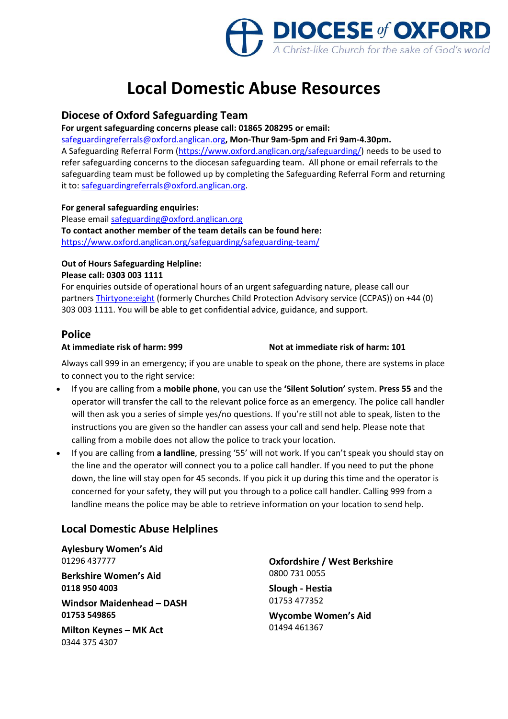

# **Local Domestic Abuse Resources**

## **Diocese of Oxford Safeguarding Team**

**For urgent safeguarding concerns please call: 01865 208295 or email:** 

[safeguardingreferrals@oxford.anglican.org](mailto:safeguardingreferrals@oxford.anglican.org)**, Mon-Thur 9am-5pm and Fri 9am-4.30pm.** A Safeguarding Referral Form [\(https://www.oxford.anglican.org/safeguarding/\)](https://www.oxford.anglican.org/safeguarding/) needs to be used to refer safeguarding concerns to the diocesan safeguarding team. All phone or email referrals to the safeguarding team must be followed up by completing the Safeguarding Referral Form and returning it to[: safeguardingreferrals@oxford.anglican.org.](mailto:safeguardingreferrals@oxford.anglican.org)

#### **For general safeguarding enquiries:**

Please email [safeguarding@oxford.anglican.org](mailto:safeguarding@oxford.anglican.org) **To contact another member of the team details can be found here:** <https://www.oxford.anglican.org/safeguarding/safeguarding-team/>

#### **Out of Hours Safeguarding Helpline:**

#### **Please call: 0303 003 1111**

For enquiries outside of operational hours of an urgent safeguarding nature, please call our partners [Thirtyone:eight](https://thirtyoneeight.org/) (formerly Churches Child Protection Advisory service (CCPAS)) on +44 (0) 303 003 1111. You will be able to get confidential advice, guidance, and support.

### **Police**

#### **At immediate risk of harm: 999 Not at immediate risk of harm: 101**

Always call 999 in an emergency; if you are unable to speak on the phone, there are systems in place to connect you to the right service:

- If you are calling from a **mobile phone**, you can use the **'Silent Solution'** system. **Press 55** and the operator will transfer the call to the relevant police force as an emergency. The police call handler will then ask you a series of simple yes/no questions. If you're still not able to speak, listen to the instructions you are given so the handler can assess your call and send help. Please note that calling from a mobile does not allow the police to track your location.
- If you are calling from **a landline**, pressing '55' will not work. If you can't speak you should stay on the line and the operator will connect you to a police call handler. If you need to put the phone down, the line will stay open for 45 seconds. If you pick it up during this time and the operator is concerned for your safety, they will put you through to a police call handler. Calling 999 from a landline means the police may be able to retrieve information on your location to send help.

## **Local Domestic Abuse Helplines**

**Aylesbury Women's Aid** 01296 437777

**Berkshire Women's Aid 0118 950 4003**

**Windsor Maidenhead – DASH 01753 549865**

**Milton Keynes – MK Act** 0344 375 4307

**Oxfordshire / West Berkshire** 0800 731 0055

**Slough - Hestia** 01753 477352

**Wycombe Women's Aid** 01494 461367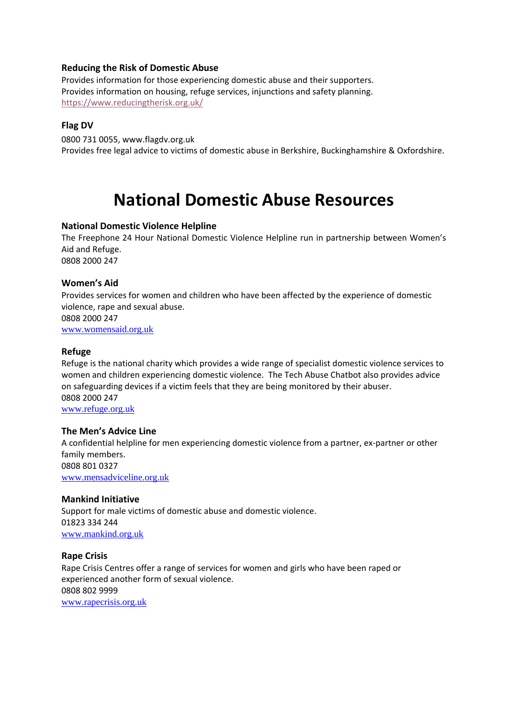#### **Reducing the Risk of Domestic Abuse**

Provides information for those experiencing domestic abuse and their supporters. Provides information on housing, refuge services, injunctions and safety planning. <https://www.reducingtherisk.org.uk/>

#### **Flag DV**

0800 731 0055, [www.flagdv.org.uk](http://www.flagdv.org.uk/) Provides free legal advice to victims of domestic abuse in Berkshire, Buckinghamshire & Oxfordshire.

# **National Domestic Abuse Resources**

#### **National Domestic Violence Helpline**

The Freephone 24 Hour National Domestic Violence Helpline run in partnership between Women's Aid and Refuge. 0808 2000 247

#### **Women's Aid**

Provides services for women and children who have been affected by the experience of domestic violence, rape and sexual abuse. 0808 2000 247

[www.womensaid.org.uk](http://www.womensaid.org.uk/)

#### **Refuge**

Refuge is the national charity which provides a wide range of specialist domestic violence services to women and children experiencing domestic violence. The Tech Abuse Chatbot also provides advice on safeguarding devices if a victim feels that they are being monitored by their abuser. 0808 2000 247

[www.refuge.org.uk](http://www.refuge.org.uk/)

#### **The Men's Advice Line**

A confidential helpline for men experiencing domestic violence from a partner, ex-partner or other family members. 0808 801 0327

[www.mensadviceline.org.uk](http://www.mensadviceline.org.uk/)

#### **Mankind Initiative**

Support for male victims of domestic abuse and domestic violence. 01823 334 244 [www.mankind.org.uk](http://www.mankind.org.uk/)

#### **Rape Crisis**

Rape Crisis Centres offer a range of services for women and girls who have been raped or experienced another form of sexual violence. 0808 802 9999 [www.rapecrisis.org.uk](http://www.rapecrisis.org.uk/)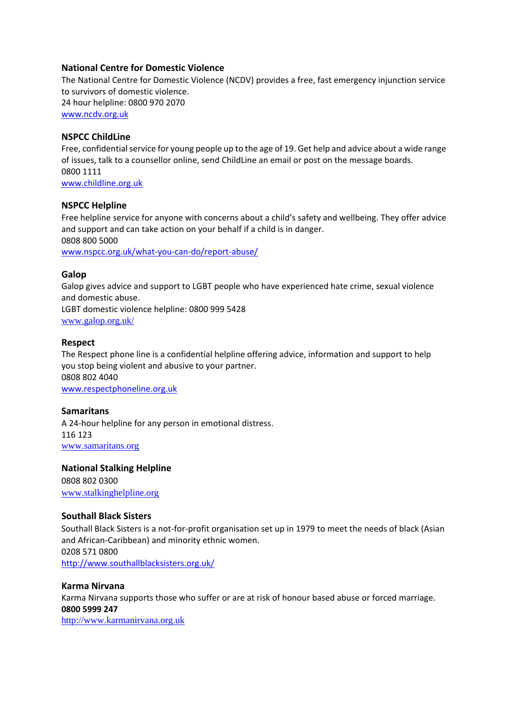#### **National Centre for Domestic Violence**

The National Centre for Domestic Violence (NCDV) provides a free, fast emergency injunction service to survivors of domestic violence. 24 hour helpline: 0800 970 2070 [www.ncdv.org.uk](http://www.ncdv.org.uk/)

#### **NSPCC ChildLine**

Free, confidential service for young people up to the age of 19. Get help and advice about a wide range of issues, talk to a counsellor online, send ChildLine an email or post on the message boards. 0800 1111 [www.childline.org.uk](http://www.childline.org.uk/)

#### **NSPCC Helpline**

Free helpline service for anyone with concerns about a child's safety and wellbeing. They offer advice and support and can take action on your behalf if a child is in danger. 0808 800 5000

[www.nspcc.org.uk/what-you-can-do/report-abuse/](http://www.nspcc.org.uk/what-you-can-do/report-abuse/)

#### **Galop**

Galop gives advice and support to LGBT people who have experienced hate crime, sexual violence and domestic abuse. LGBT domestic violence helpline: 0800 999 5428 [www.galop.org.uk/](http://www.galop.org.uk/)

#### **Respect**

The Respect phone line is a confidential helpline offering advice, information and support to help you stop being violent and abusive to your partner. 0808 802 4040 [www.respectphoneline.org.uk](http://www.respectphoneline.org.uk/)

#### **Samaritans**

A 24-hour helpline for any person in emotional distress. 116 123 [www.samaritans.org](http://www.samaritans.org/)

#### **National Stalking Helpline**

0808 802 0300 [www.stalkinghelpline.org](http://www.stalkinghelpline.org/)

#### **Southall Black Sisters**

Southall Black Sisters is a not-for-profit organisation set up in 1979 to meet the needs of black (Asian and African-Caribbean) and minority ethnic women. 0208 571 0800 <http://www.southallblacksisters.org.uk/>

#### **Karma Nirvana**

Karma Nirvana supports those who suffer or are at risk of honour based abuse or forced marriage. **0800 5999 247** 

[http://www.karmanirvana.org.uk](http://www.karmanirvana.org.uk/)